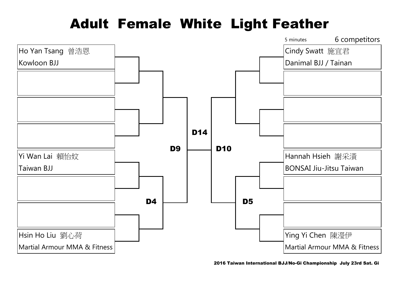## Adult Female White Light Feather

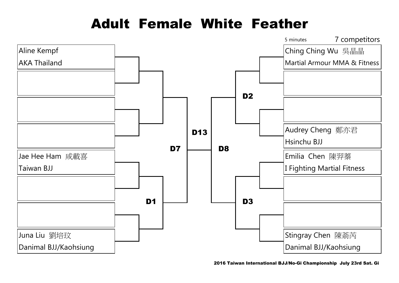### Adult Female White Feather

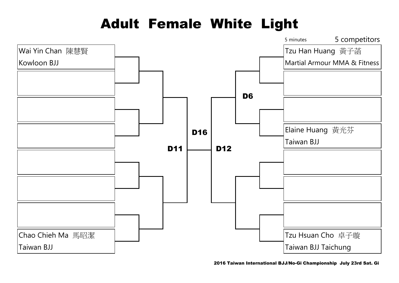## Adult Female White Light

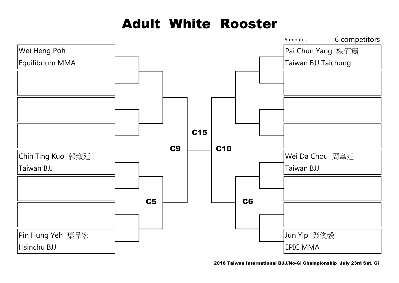### Adult White Rooster



2016 Taiwan International BJJ/No-Gi Championship July 23rd Sat. Gi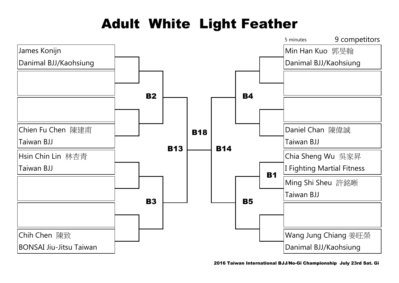# Adult White Light Feather

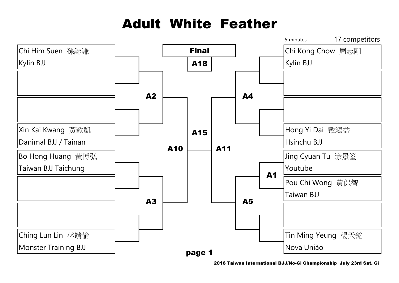# Adult White Feather

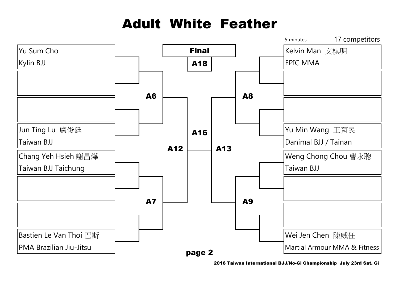# Adult White Feather

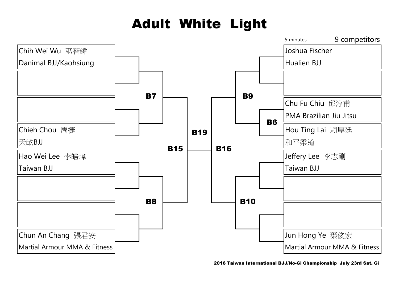# Adult White Light

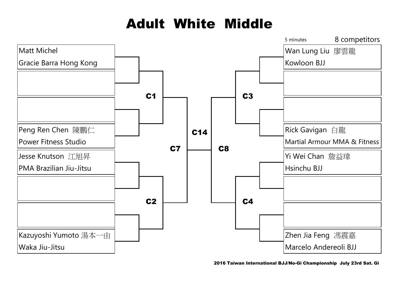# Adult White Middle

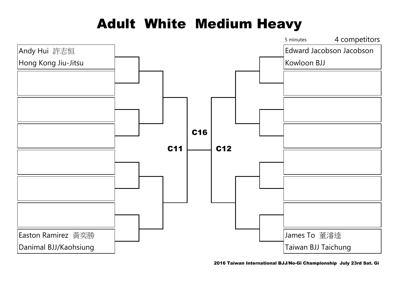## Adult White Medium Heavy

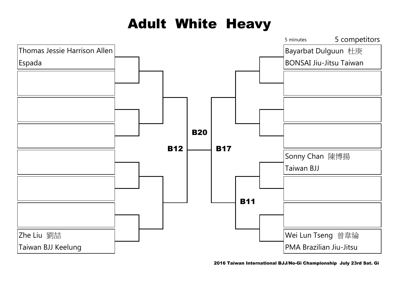# Adult White Heavy

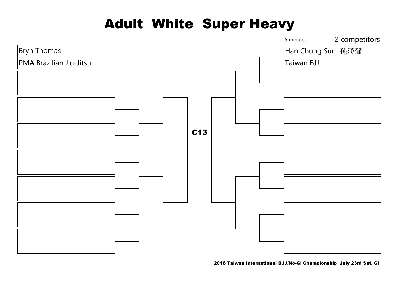## Adult White Super Heavy